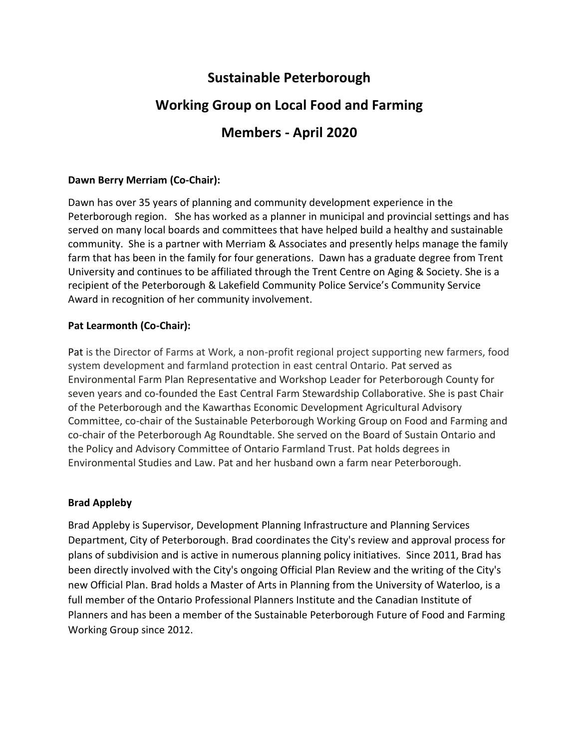## **Sustainable Peterborough**

# **Working Group on Local Food and Farming**

## **Members - April 2020**

## **Dawn Berry Merriam (Co-Chair):**

Dawn has over 35 years of planning and community development experience in the Peterborough region. She has worked as a planner in municipal and provincial settings and has served on many local boards and committees that have helped build a healthy and sustainable community. She is a partner with Merriam & Associates and presently helps manage the family farm that has been in the family for four generations. Dawn has a graduate degree from Trent University and continues to be affiliated through the Trent Centre on Aging & Society. She is a recipient of the Peterborough & Lakefield Community Police Service's Community Service Award in recognition of her community involvement.

## **Pat Learmonth (Co-Chair):**

Pat is the Director of Farms at Work, a non-profit regional project supporting new farmers, food system development and farmland protection in east central Ontario. Pat served as Environmental Farm Plan Representative and Workshop Leader for Peterborough County for seven years and co-founded the East Central Farm Stewardship Collaborative. She is past Chair of the Peterborough and the Kawarthas Economic Development Agricultural Advisory Committee, co-chair of the Sustainable Peterborough Working Group on Food and Farming and co-chair of the Peterborough Ag Roundtable. She served on the Board of Sustain Ontario and the Policy and Advisory Committee of Ontario Farmland Trust. Pat holds degrees in Environmental Studies and Law. Pat and her husband own a farm near Peterborough.

## **Brad Appleby**

Brad Appleby is Supervisor, Development Planning Infrastructure and Planning Services Department, City of Peterborough. Brad coordinates the City's review and approval process for plans of subdivision and is active in numerous planning policy initiatives. Since 2011, Brad has been directly involved with the City's ongoing Official Plan Review and the writing of the City's new Official Plan. Brad holds a Master of Arts in Planning from the University of Waterloo, is a full member of the Ontario Professional Planners Institute and the Canadian Institute of Planners and has been a member of the Sustainable Peterborough Future of Food and Farming Working Group since 2012.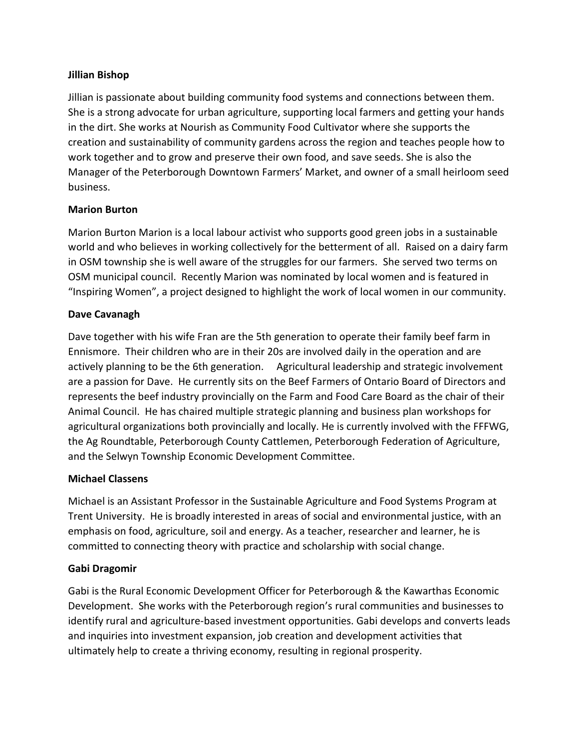#### **Jillian Bishop**

Jillian is passionate about building community food systems and connections between them. She is a strong advocate for urban agriculture, supporting local farmers and getting your hands in the dirt. She works at Nourish as Community Food Cultivator where she supports the creation and sustainability of community gardens across the region and teaches people how to work together and to grow and preserve their own food, and save seeds. She is also the Manager of the Peterborough Downtown Farmers' Market, and owner of a small heirloom seed business.

## **Marion Burton**

Marion Burton Marion is a local labour activist who supports good green jobs in a sustainable world and who believes in working collectively for the betterment of all. Raised on a dairy farm in OSM township she is well aware of the struggles for our farmers. She served two terms on OSM municipal council. Recently Marion was nominated by local women and is featured in "Inspiring Women", a project designed to highlight the work of local women in our community.

#### **Dave Cavanagh**

Dave together with his wife Fran are the 5th generation to operate their family beef farm in Ennismore. Their children who are in their 20s are involved daily in the operation and are actively planning to be the 6th generation. Agricultural leadership and strategic involvement are a passion for Dave. He currently sits on the Beef Farmers of Ontario Board of Directors and represents the beef industry provincially on the Farm and Food Care Board as the chair of their Animal Council. He has chaired multiple strategic planning and business plan workshops for agricultural organizations both provincially and locally. He is currently involved with the FFFWG, the Ag Roundtable, Peterborough County Cattlemen, Peterborough Federation of Agriculture, and the Selwyn Township Economic Development Committee.

## **Michael Classens**

Michael is an Assistant Professor in the Sustainable Agriculture and Food Systems Program at Trent University. He is broadly interested in areas of social and environmental justice, with an emphasis on food, agriculture, soil and energy. As a teacher, researcher and learner, he is committed to connecting theory with practice and scholarship with social change.

## **Gabi Dragomir**

Gabi is the Rural Economic Development Officer for Peterborough & the Kawarthas Economic Development. She works with the Peterborough region's rural communities and businesses to identify rural and agriculture-based investment opportunities. Gabi develops and converts leads and inquiries into investment expansion, job creation and development activities that ultimately help to create a thriving economy, resulting in regional prosperity.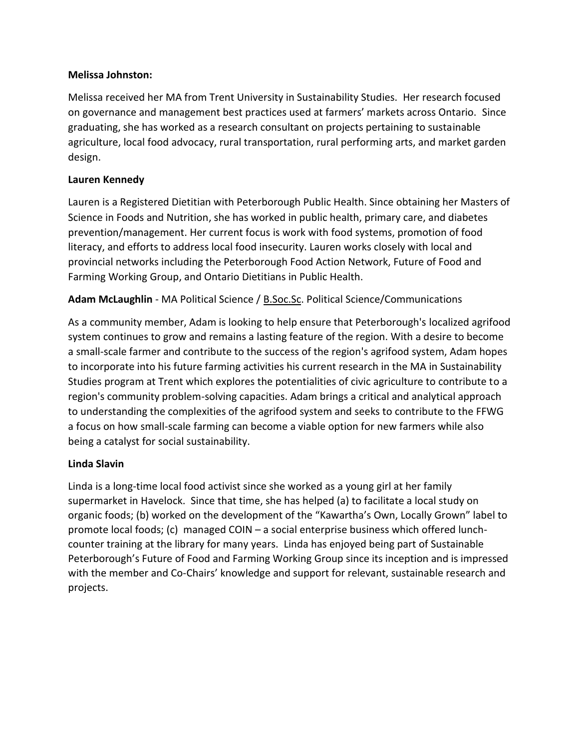#### **Melissa Johnston:**

Melissa received her MA from Trent University in Sustainability Studies. Her research focused on governance and management best practices used at farmers' markets across Ontario. Since graduating, she has worked as a research consultant on projects pertaining to sustainable agriculture, local food advocacy, rural transportation, rural performing arts, and market garden design.

#### **Lauren Kennedy**

Lauren is a Registered Dietitian with Peterborough Public Health. Since obtaining her Masters of Science in Foods and Nutrition, she has worked in public health, primary care, and diabetes prevention/management. Her current focus is work with food systems, promotion of food literacy, and efforts to address local food insecurity. Lauren works closely with local and provincial networks including the Peterborough Food Action Network, Future of Food and Farming Working Group, and Ontario Dietitians in Public Health.

**Adam McLaughlin** - MA Political Science / [B.Soc.Sc.](http://b.soc.sc/) Political Science/Communications

As a community member, Adam is looking to help ensure that Peterborough's localized agrifood system continues to grow and remains a lasting feature of the region. With a desire to become a small-scale farmer and contribute to the success of the region's agrifood system, Adam hopes to incorporate into his future farming activities his current research in the MA in Sustainability Studies program at Trent which explores the potentialities of civic agriculture to contribute to a region's community problem-solving capacities. Adam brings a critical and analytical approach to understanding the complexities of the agrifood system and seeks to contribute to the FFWG a focus on how small-scale farming can become a viable option for new farmers while also being a catalyst for social sustainability.

#### **Linda Slavin**

Linda is a long-time local food activist since she worked as a young girl at her family supermarket in Havelock. Since that time, she has helped (a) to facilitate a local study on organic foods; (b) worked on the development of the "Kawartha's Own, Locally Grown" label to promote local foods; (c) managed COIN – a social enterprise business which offered lunchcounter training at the library for many years. Linda has enjoyed being part of Sustainable Peterborough's Future of Food and Farming Working Group since its inception and is impressed with the member and Co-Chairs' knowledge and support for relevant, sustainable research and projects.